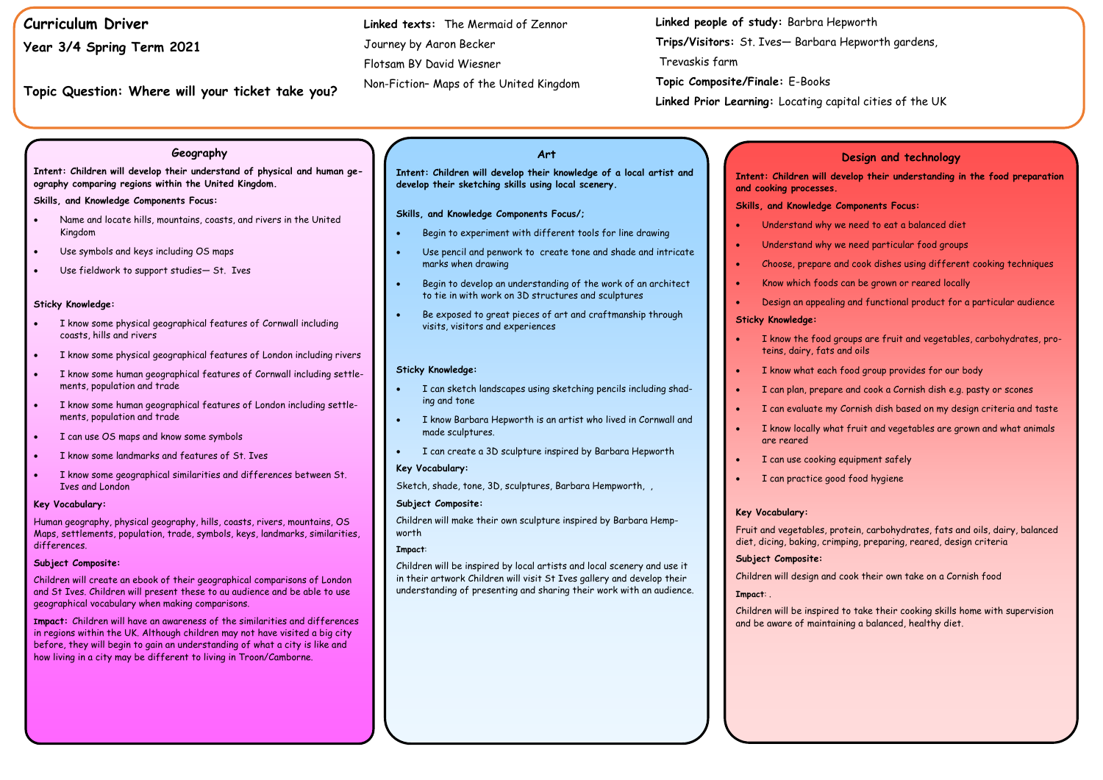# **Curriculum Driver**

**Year 3/4 Spring Term 2021**

**Topic Question: Where will your ticket take you?**

### **Art**

**Intent: Children will develop their knowledge of a local artist and develop their sketching skills using local scenery.** 

**Skills, and Knowledge Components Focus/;**

- Begin to experiment with different tools for line drawing
- Use pencil and penwork to create tone and shade and intricate marks when drawing
- Begin to develop an understanding of the work of an architect to tie in with work on 3D structures and sculptures
- Be exposed to great pieces of art and craftmanship through visits, visitors and experiences

#### **Sticky Knowledge:**

- I can sketch landscapes using sketching pencils including shading and tone
- I know Barbara Hepworth is an artist who lived in Cornwall and made sculptures.
- I can create a 3D sculpture inspired by Barbara Hepworth

#### **Key Vocabulary:**

Sketch, shade, tone, 3D, sculptures, Barbara Hempworth, ,

#### **Subject Composite:**

Children will make their own sculpture inspired by Barbara Hempworth

#### **Impact**:

Children will be inspired by local artists and local scenery and use it in their artwork Children will visit St Ives gallery and develop their understanding of presenting and sharing their work with an audience.

# **Linked people of study:** Barbra Hepworth **Trips/Visitors:** St. Ives— Barbara Hepworth gardens,

Trevaskis farm

**Topic Composite/Finale:** E-Books **Linked Prior Learning:** Locating capital cities of the UK

**Linked texts:** The Mermaid of Zennor Journey by Aaron Becker Flotsam BY David Wiesner

Non-Fiction– Maps of the United Kingdom

#### **Geography**

**Intent: Children will develop their understand of physical and human geography comparing regions within the United Kingdom.** 

#### **Skills, and Knowledge Components Focus:**

- Name and locate hills, mountains, coasts, and rivers in the United Kingdom
- Use symbols and keys including OS maps
- Use fieldwork to support studies— St. Ives

#### **Sticky Knowledge:**

- I know some physical geographical features of Cornwall including coasts, hills and rivers
- I know some physical geographical features of London including rivers
- I know some human geographical features of Cornwall including settlements, population and trade
- I know some human geographical features of London including settlements, population and trade
- I can use OS maps and know some symbols
- I know some landmarks and features of St. Ives
- I know some geographical similarities and differences between St. Ives and London

#### **Key Vocabulary:**

Human geography, physical geography, hills, coasts, rivers, mountains, OS Maps, settlements, population, trade, symbols, keys, landmarks, similarities, differences.

#### **Subject Composite:**

Children will create an ebook of their geographical comparisons of London and St Ives. Children will present these to au audience and be able to use geographical vocabulary when making comparisons.

**Impact:** Children will have an awareness of the similarities and differences in regions within the UK. Although children may not have visited a big city before, they will begin to gain an understanding of what a city is like and how living in a city may be different to living in Troon/Camborne.

### **Design and technology**

**Intent: Children will develop their understanding in the food preparation** 

**and cooking processes. Skills, and Knowledge Components Focus:**

- 
- 
- 
- 
- 

• Understand why we need to eat a balanced diet

Understand why we need particular food groups

• Choose, prepare and cook dishes using different cooking techniques

• Know which foods can be grown or reared locally

• Design an appealing and functional product for a particular audience

#### **Sticky Knowledge:**

• I know the food groups are fruit and vegetables, carbohydrates, pro-

I know what each food group provides for our body

• I can plan, prepare and cook a Cornish dish e.g. pasty or scones

- teins, dairy, fats and oils
- 
- 
- 
- are reared
- 
- 

• I can evaluate my Cornish dish based on my design criteria and taste

I know locally what fruit and vegetables are grown and what animals

I can use cooking equipment safely

I can practice good food hygiene

#### **Key Vocabulary:**

Fruit and vegetables, protein, carbohydrates, fats and oils, dairy, balanced diet, dicing, baking, crimping, preparing, reared, design criteria

#### **Subject Composite:**

Children will design and cook their own take on a Cornish food

**Impact**: .

Children will be inspired to take their cooking skills home with supervision and be aware of maintaining a balanced, healthy diet.